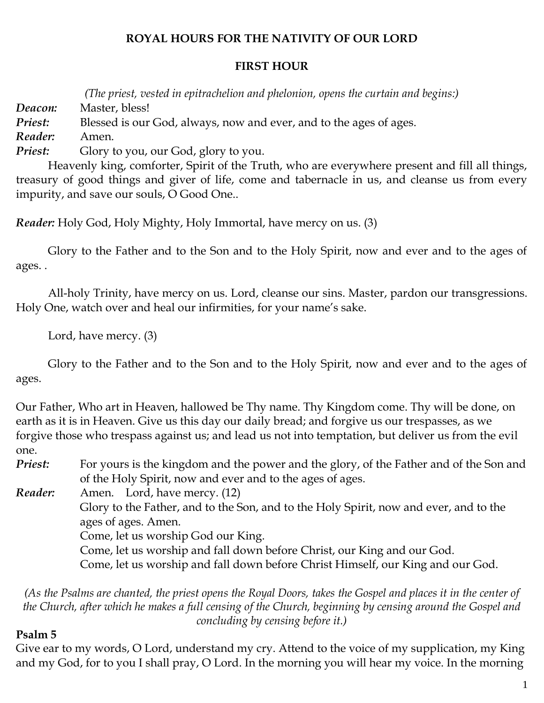### **ROYAL HOURS FOR THE NATIVITY OF OUR LORD**

### **FIRST HOUR**

*(The priest, vested in epitrachelion and phelonion, opens the curtain and begins:) Deacon:* Master, bless! *Priest:* Blessed is our God, always, now and ever, and to the ages of ages. *Reader:* Amen. *Priest:* Glory to you, our God, glory to you.

Heavenly king, comforter, Spirit of the Truth, who are everywhere present and fill all things, treasury of good things and giver of life, come and tabernacle in us, and cleanse us from every impurity, and save our souls, O Good One..

*Reader:* Holy God, Holy Mighty, Holy Immortal, have mercy on us. (3)

Glory to the Father and to the Son and to the Holy Spirit, now and ever and to the ages of ages. .

All-holy Trinity, have mercy on us. Lord, cleanse our sins. Master, pardon our transgressions. Holy One, watch over and heal our infirmities, for your name's sake.

Lord, have mercy. (3)

Glory to the Father and to the Son and to the Holy Spirit, now and ever and to the ages of ages.

Our Father, Who art in Heaven, hallowed be Thy name. Thy Kingdom come. Thy will be done, on earth as it is in Heaven. Give us this day our daily bread; and forgive us our trespasses, as we forgive those who trespass against us; and lead us not into temptation, but deliver us from the evil one.

*Priest:* For yours is the kingdom and the power and the glory, of the Father and of the Son and of the Holy Spirit, now and ever and to the ages of ages.

*Reader:* Amen. Lord, have mercy. (12) Glory to the Father, and to the Son, and to the Holy Spirit, now and ever, and to the ages of ages. Amen. Come, let us worship God our King.

Come, let us worship and fall down before Christ, our King and our God. Come, let us worship and fall down before Christ Himself, our King and our God.

*(As the Psalms are chanted, the priest opens the Royal Doors, takes the Gospel and places it in the center of the Church, after which he makes a full censing of the Church, beginning by censing around the Gospel and concluding by censing before it.)*

#### **Psalm 5**

Give ear to my words, O Lord, understand my cry. Attend to the voice of my supplication, my King and my God, for to you I shall pray, O Lord. In the morning you will hear my voice. In the morning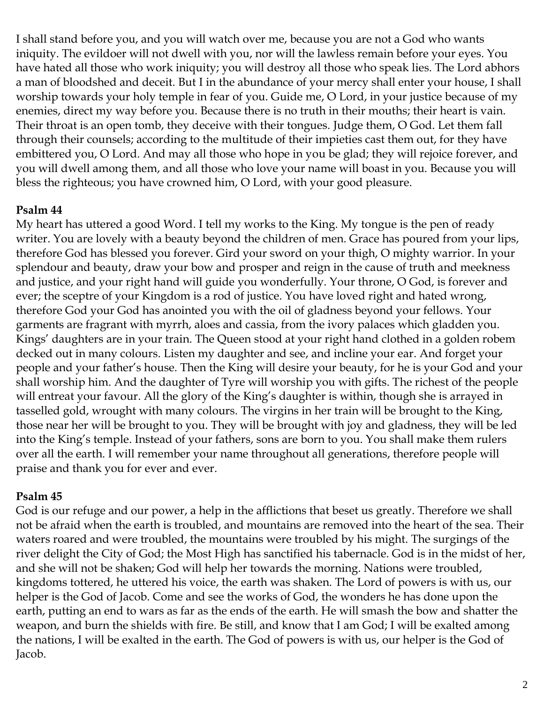I shall stand before you, and you will watch over me, because you are not a God who wants iniquity. The evildoer will not dwell with you, nor will the lawless remain before your eyes. You have hated all those who work iniquity; you will destroy all those who speak lies. The Lord abhors a man of bloodshed and deceit. But I in the abundance of your mercy shall enter your house, I shall worship towards your holy temple in fear of you. Guide me, O Lord, in your justice because of my enemies, direct my way before you. Because there is no truth in their mouths; their heart is vain. Their throat is an open tomb, they deceive with their tongues. Judge them, O God. Let them fall through their counsels; according to the multitude of their impieties cast them out, for they have embittered you, O Lord. And may all those who hope in you be glad; they will rejoice forever, and you will dwell among them, and all those who love your name will boast in you. Because you will bless the righteous; you have crowned him, O Lord, with your good pleasure.

# **Psalm 44**

My heart has uttered a good Word. I tell my works to the King. My tongue is the pen of ready writer. You are lovely with a beauty beyond the children of men. Grace has poured from your lips, therefore God has blessed you forever. Gird your sword on your thigh, O mighty warrior. In your splendour and beauty, draw your bow and prosper and reign in the cause of truth and meekness and justice, and your right hand will guide you wonderfully. Your throne, O God, is forever and ever; the sceptre of your Kingdom is a rod of justice. You have loved right and hated wrong, therefore God your God has anointed you with the oil of gladness beyond your fellows. Your garments are fragrant with myrrh, aloes and cassia, from the ivory palaces which gladden you. Kings' daughters are in your train. The Queen stood at your right hand clothed in a golden robem decked out in many colours. Listen my daughter and see, and incline your ear. And forget your people and your father's house. Then the King will desire your beauty, for he is your God and your shall worship him. And the daughter of Tyre will worship you with gifts. The richest of the people will entreat your favour. All the glory of the King's daughter is within, though she is arrayed in tasselled gold, wrought with many colours. The virgins in her train will be brought to the King, those near her will be brought to you. They will be brought with joy and gladness, they will be led into the King's temple. Instead of your fathers, sons are born to you. You shall make them rulers over all the earth. I will remember your name throughout all generations, therefore people will praise and thank you for ever and ever.

#### **Psalm 45**

God is our refuge and our power, a help in the afflictions that beset us greatly. Therefore we shall not be afraid when the earth is troubled, and mountains are removed into the heart of the sea. Their waters roared and were troubled, the mountains were troubled by his might. The surgings of the river delight the City of God; the Most High has sanctified his tabernacle. God is in the midst of her, and she will not be shaken; God will help her towards the morning. Nations were troubled, kingdoms tottered, he uttered his voice, the earth was shaken. The Lord of powers is with us, our helper is the God of Jacob. Come and see the works of God, the wonders he has done upon the earth, putting an end to wars as far as the ends of the earth. He will smash the bow and shatter the weapon, and burn the shields with fire. Be still, and know that I am God; I will be exalted among the nations, I will be exalted in the earth. The God of powers is with us, our helper is the God of Jacob.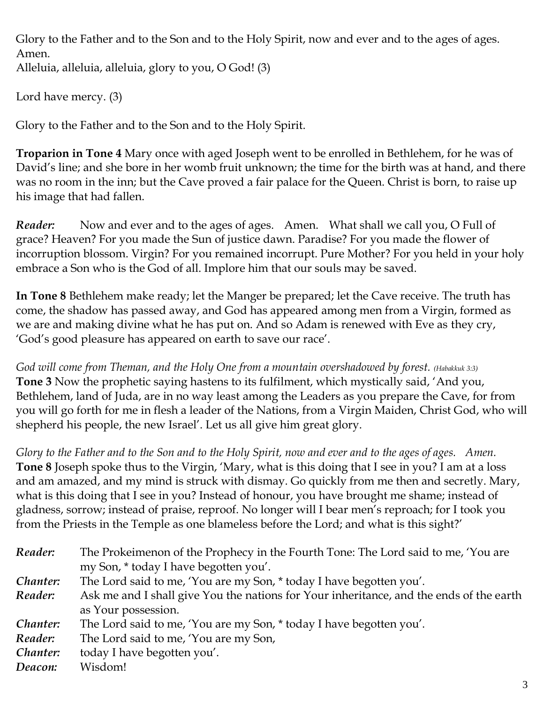Glory to the Father and to the Son and to the Holy Spirit, now and ever and to the ages of ages. Amen.

Alleluia, alleluia, alleluia, glory to you, O God! (3)

Lord have mercy. (3)

Glory to the Father and to the Son and to the Holy Spirit.

**Troparion in Tone 4** Mary once with aged Joseph went to be enrolled in Bethlehem, for he was of David's line; and she bore in her womb fruit unknown; the time for the birth was at hand, and there was no room in the inn; but the Cave proved a fair palace for the Queen. Christ is born, to raise up his image that had fallen.

*Reader:* Now and ever and to the ages of ages. Amen. What shall we call you, O Full of grace? Heaven? For you made the Sun of justice dawn. Paradise? For you made the flower of incorruption blossom. Virgin? For you remained incorrupt. Pure Mother? For you held in your holy embrace a Son who is the God of all. Implore him that our souls may be saved.

**In Tone 8** Bethlehem make ready; let the Manger be prepared; let the Cave receive. The truth has come, the shadow has passed away, and God has appeared among men from a Virgin, formed as we are and making divine what he has put on. And so Adam is renewed with Eve as they cry, 'God's good pleasure has appeared on earth to save our race'.

*God will come from Theman, and the Holy One from a mountain overshadowed by forest. (Habakkuk 3:3)* **Tone 3** Now the prophetic saying hastens to its fulfilment, which mystically said, 'And you, Bethlehem, land of Juda, are in no way least among the Leaders as you prepare the Cave, for from you will go forth for me in flesh a leader of the Nations, from a Virgin Maiden, Christ God, who will shepherd his people, the new Israel'. Let us all give him great glory.

*Glory to the Father and to the Son and to the Holy Spirit, now and ever and to the ages of ages. Amen.* **Tone 8** Joseph spoke thus to the Virgin, 'Mary, what is this doing that I see in you? I am at a loss and am amazed, and my mind is struck with dismay. Go quickly from me then and secretly. Mary, what is this doing that I see in you? Instead of honour, you have brought me shame; instead of gladness, sorrow; instead of praise, reproof. No longer will I bear men's reproach; for I took you from the Priests in the Temple as one blameless before the Lord; and what is this sight?'

| Reader:  | The Prokeimenon of the Prophecy in the Fourth Tone: The Lord said to me, 'You are<br>my Son, * today I have begotten you'. |
|----------|----------------------------------------------------------------------------------------------------------------------------|
| Chanter: | The Lord said to me, 'You are my Son, * today I have begotten you'.                                                        |
| Reader:  | Ask me and I shall give You the nations for Your inheritance, and the ends of the earth                                    |
|          | as Your possession.                                                                                                        |
| Chanter: | The Lord said to me, 'You are my Son, * today I have begotten you'.                                                        |
| Reader:  | The Lord said to me, 'You are my Son,                                                                                      |
| Chanter: | today I have begotten you'.                                                                                                |
| Deacon:  | Wisdom!                                                                                                                    |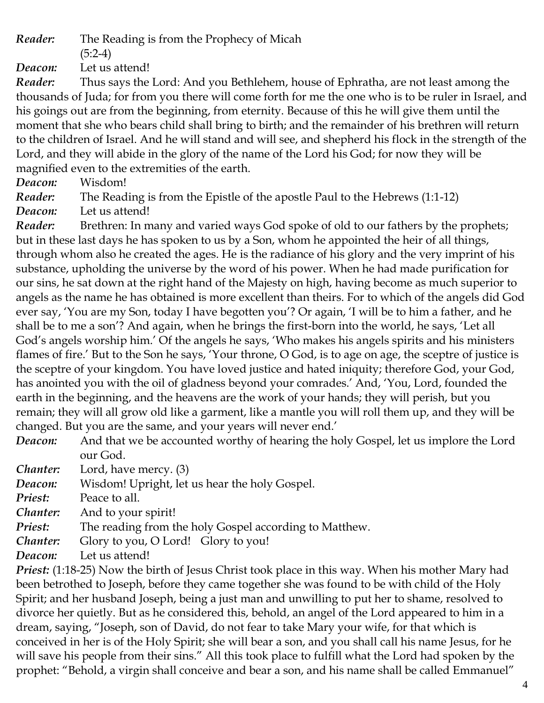*Reader:* The Reading is from the Prophecy of Micah  $(5:2-4)$ 

*Deacon:* Let us attend!

*Reader:* Thus says the Lord: And you Bethlehem, house of Ephratha, are not least among the thousands of Juda; for from you there will come forth for me the one who is to be ruler in Israel, and his goings out are from the beginning, from eternity. Because of this he will give them until the moment that she who bears child shall bring to birth; and the remainder of his brethren will return to the children of Israel. And he will stand and will see, and shepherd his flock in the strength of the Lord, and they will abide in the glory of the name of the Lord his God; for now they will be magnified even to the extremities of the earth.

*Deacon:* Wisdom!

*Reader:* The Reading is from the Epistle of the apostle Paul to the Hebrews (1:1-12)

*Deacon:* Let us attend!

*Reader:* Brethren: In many and varied ways God spoke of old to our fathers by the prophets; but in these last days he has spoken to us by a Son, whom he appointed the heir of all things, through whom also he created the ages. He is the radiance of his glory and the very imprint of his substance, upholding the universe by the word of his power. When he had made purification for our sins, he sat down at the right hand of the Majesty on high, having become as much superior to angels as the name he has obtained is more excellent than theirs. For to which of the angels did God ever say, 'You are my Son, today I have begotten you'? Or again, 'I will be to him a father, and he shall be to me a son'? And again, when he brings the first-born into the world, he says, 'Let all God's angels worship him.' Of the angels he says, 'Who makes his angels spirits and his ministers flames of fire.' But to the Son he says, 'Your throne, O God, is to age on age, the sceptre of justice is the sceptre of your kingdom. You have loved justice and hated iniquity; therefore God, your God, has anointed you with the oil of gladness beyond your comrades.' And, 'You, Lord, founded the earth in the beginning, and the heavens are the work of your hands; they will perish, but you remain; they will all grow old like a garment, like a mantle you will roll them up, and they will be changed. But you are the same, and your years will never end.'

| Deacon: | And that we be accounted worthy of hearing the holy Gospel, let us implore the Lord |
|---------|-------------------------------------------------------------------------------------|
|         | our God.                                                                            |

*Chanter:* Lord, have mercy. (3)

*Deacon:* Wisdom! Upright, let us hear the holy Gospel.

*Priest:* Peace to all.

*Chanter:* And to your spirit!

*Priest:* The reading from the holy Gospel according to Matthew.

*Chanter:* Glory to you, O Lord! Glory to you!

*Deacon:* Let us attend!

*Priest:* (1:18-25) Now the birth of Jesus Christ took place in this way. When his mother Mary had been betrothed to Joseph, before they came together she was found to be with child of the Holy Spirit; and her husband Joseph, being a just man and unwilling to put her to shame, resolved to divorce her quietly. But as he considered this, behold, an angel of the Lord appeared to him in a dream, saying, "Joseph, son of David, do not fear to take Mary your wife, for that which is conceived in her is of the Holy Spirit; she will bear a son, and you shall call his name Jesus, for he will save his people from their sins." All this took place to fulfill what the Lord had spoken by the prophet: "Behold, a virgin shall conceive and bear a son, and his name shall be called Emmanuel"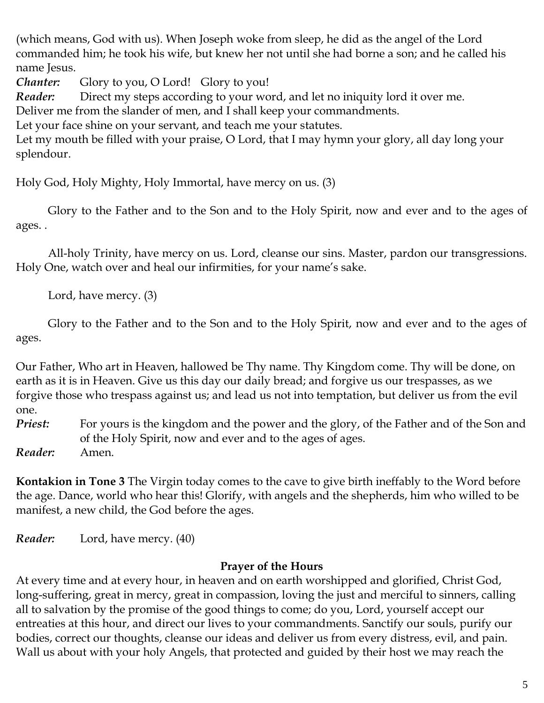(which means, God with us). When Joseph woke from sleep, he did as the angel of the Lord commanded him; he took his wife, but knew her not until she had borne a son; and he called his name Jesus.

*Chanter:* Glory to you, O Lord! Glory to you!

*Reader:* Direct my steps according to your word, and let no iniquity lord it over me.

Deliver me from the slander of men, and I shall keep your commandments.

Let your face shine on your servant, and teach me your statutes.

Let my mouth be filled with your praise, O Lord, that I may hymn your glory, all day long your splendour.

Holy God, Holy Mighty, Holy Immortal, have mercy on us. (3)

Glory to the Father and to the Son and to the Holy Spirit, now and ever and to the ages of ages. .

All-holy Trinity, have mercy on us. Lord, cleanse our sins. Master, pardon our transgressions. Holy One, watch over and heal our infirmities, for your name's sake.

Lord, have mercy. (3)

Glory to the Father and to the Son and to the Holy Spirit, now and ever and to the ages of ages.

Our Father, Who art in Heaven, hallowed be Thy name. Thy Kingdom come. Thy will be done, on earth as it is in Heaven. Give us this day our daily bread; and forgive us our trespasses, as we forgive those who trespass against us; and lead us not into temptation, but deliver us from the evil one.

*Priest:* For yours is the kingdom and the power and the glory, of the Father and of the Son and of the Holy Spirit, now and ever and to the ages of ages.

*Reader:* Amen.

**Kontakion in Tone 3** The Virgin today comes to the cave to give birth ineffably to the Word before the age. Dance, world who hear this! Glorify, with angels and the shepherds, him who willed to be manifest, a new child, the God before the ages.

*Reader:* Lord, have mercy. (40)

#### **Prayer of the Hours**

At every time and at every hour, in heaven and on earth worshipped and glorified, Christ God, long-suffering, great in mercy, great in compassion, loving the just and merciful to sinners, calling all to salvation by the promise of the good things to come; do you, Lord, yourself accept our entreaties at this hour, and direct our lives to your commandments. Sanctify our souls, purify our bodies, correct our thoughts, cleanse our ideas and deliver us from every distress, evil, and pain. Wall us about with your holy Angels, that protected and guided by their host we may reach the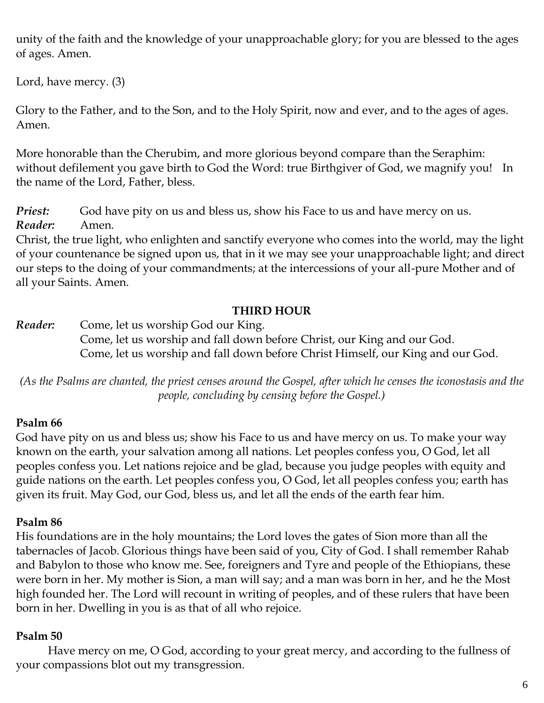unity of the faith and the knowledge of your unapproachable glory; for you are blessed to the ages of ages. Amen.

Lord, have mercy. (3)

Glory to the Father, and to the Son, and to the Holy Spirit, now and ever, and to the ages of ages. Amen.

More honorable than the Cherubim, and more glorious beyond compare than the Seraphim: without defilement you gave birth to God the Word: true Birthgiver of God, we magnify you! In the name of the Lord, Father, bless.

*Priest:* God have pity on us and bless us, show his Face to us and have mercy on us. *Reader:* Amen.

Christ, the true light, who enlighten and sanctify everyone who comes into the world, may the light of your countenance be signed upon us, that in it we may see your unapproachable light; and direct our steps to the doing of your commandments; at the intercessions of your all-pure Mother and of all your Saints. Amen.

# **THIRD HOUR**

*Reader:* Come, let us worship God our King. Come, let us worship and fall down before Christ, our King and our God. Come, let us worship and fall down before Christ Himself, our King and our God.

*(As the Psalms are chanted, the priest censes around the Gospel, after which he censes the iconostasis and the people, concluding by censing before the Gospel.)*

# **Psalm 66**

God have pity on us and bless us; show his Face to us and have mercy on us. To make your way known on the earth, your salvation among all nations. Let peoples confess you, O God, let all peoples confess you. Let nations rejoice and be glad, because you judge peoples with equity and guide nations on the earth. Let peoples confess you, O God, let all peoples confess you; earth has given its fruit. May God, our God, bless us, and let all the ends of the earth fear him.

# **Psalm 86**

His foundations are in the holy mountains; the Lord loves the gates of Sion more than all the tabernacles of Jacob. Glorious things have been said of you, City of God. I shall remember Rahab and Babylon to those who know me. See, foreigners and Tyre and people of the Ethiopians, these were born in her. My mother is Sion, a man will say; and a man was born in her, and he the Most high founded her. The Lord will recount in writing of peoples, and of these rulers that have been born in her. Dwelling in you is as that of all who rejoice.

#### **Psalm 50**

Have mercy on me, O God, according to your great mercy, and according to the fullness of your compassions blot out my transgression.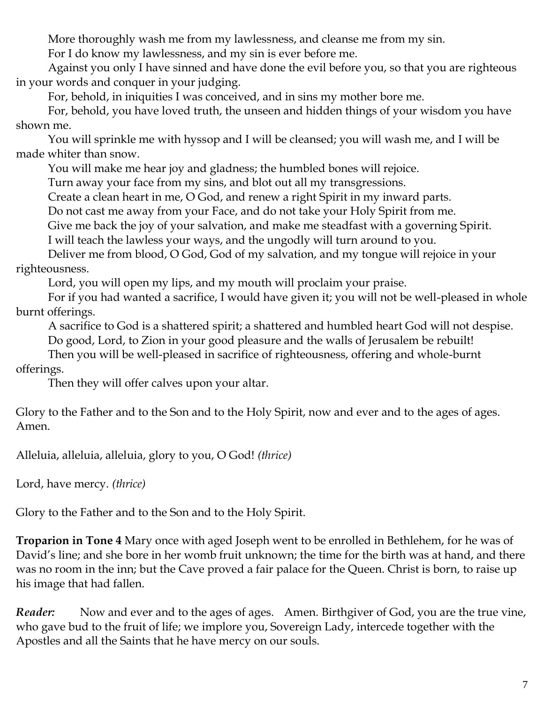More thoroughly wash me from my lawlessness, and cleanse me from my sin.

For I do know my lawlessness, and my sin is ever before me.

Against you only I have sinned and have done the evil before you, so that you are righteous in your words and conquer in your judging.

For, behold, in iniquities I was conceived, and in sins my mother bore me.

For, behold, you have loved truth, the unseen and hidden things of your wisdom you have shown me.

You will sprinkle me with hyssop and I will be cleansed; you will wash me, and I will be made whiter than snow.

You will make me hear joy and gladness; the humbled bones will rejoice.

Turn away your face from my sins, and blot out all my transgressions.

Create a clean heart in me, O God, and renew a right Spirit in my inward parts.

Do not cast me away from your Face, and do not take your Holy Spirit from me.

Give me back the joy of your salvation, and make me steadfast with a governing Spirit.

I will teach the lawless your ways, and the ungodly will turn around to you.

Deliver me from blood, O God, God of my salvation, and my tongue will rejoice in your righteousness.

Lord, you will open my lips, and my mouth will proclaim your praise.

For if you had wanted a sacrifice, I would have given it; you will not be well-pleased in whole burnt offerings.

A sacrifice to God is a shattered spirit; a shattered and humbled heart God will not despise.

Do good, Lord, to Zion in your good pleasure and the walls of Jerusalem be rebuilt!

Then you will be well-pleased in sacrifice of righteousness, offering and whole-burnt offerings.

Then they will offer calves upon your altar.

Glory to the Father and to the Son and to the Holy Spirit, now and ever and to the ages of ages. Amen.

Alleluia, alleluia, alleluia, glory to you, O God! *(thrice)*

Lord, have mercy. *(thrice)*

Glory to the Father and to the Son and to the Holy Spirit.

**Troparion in Tone 4** Mary once with aged Joseph went to be enrolled in Bethlehem, for he was of David's line; and she bore in her womb fruit unknown; the time for the birth was at hand, and there was no room in the inn; but the Cave proved a fair palace for the Queen. Christ is born, to raise up his image that had fallen.

*Reader:* Now and ever and to the ages of ages. Amen. Birthgiver of God, you are the true vine, who gave bud to the fruit of life; we implore you, Sovereign Lady, intercede together with the Apostles and all the Saints that he have mercy on our souls.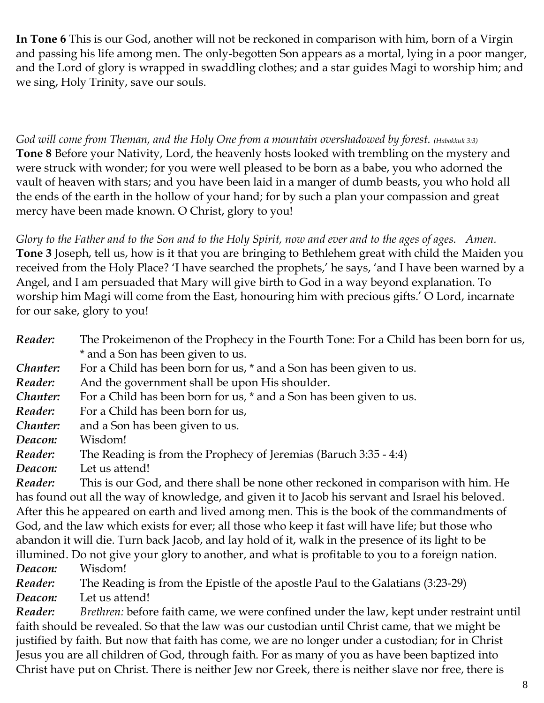**In Tone 6** This is our God, another will not be reckoned in comparison with him, born of a Virgin and passing his life among men. The only-begotten Son appears as a mortal, lying in a poor manger, and the Lord of glory is wrapped in swaddling clothes; and a star guides Magi to worship him; and we sing, Holy Trinity, save our souls.

*God will come from Theman, and the Holy One from a mountain overshadowed by forest. (Habakkuk 3:3)* **Tone 8** Before your Nativity, Lord, the heavenly hosts looked with trembling on the mystery and were struck with wonder; for you were well pleased to be born as a babe, you who adorned the vault of heaven with stars; and you have been laid in a manger of dumb beasts, you who hold all the ends of the earth in the hollow of your hand; for by such a plan your compassion and great mercy have been made known. O Christ, glory to you!

*Glory to the Father and to the Son and to the Holy Spirit, now and ever and to the ages of ages. Amen.* **Tone 3** Joseph, tell us, how is it that you are bringing to Bethlehem great with child the Maiden you received from the Holy Place? 'I have searched the prophets,' he says, 'and I have been warned by a Angel, and I am persuaded that Mary will give birth to God in a way beyond explanation. To worship him Magi will come from the East, honouring him with precious gifts.' O Lord, incarnate for our sake, glory to you!

| Reader:                                                                                           | The Prokeimenon of the Prophecy in the Fourth Tone: For a Child has been born for us,             |  |
|---------------------------------------------------------------------------------------------------|---------------------------------------------------------------------------------------------------|--|
|                                                                                                   | * and a Son has been given to us.                                                                 |  |
| Chanter:                                                                                          | For a Child has been born for us, $*$ and a Son has been given to us.                             |  |
| Reader:                                                                                           | And the government shall be upon His shoulder.                                                    |  |
| Chanter:                                                                                          | For a Child has been born for us, $*$ and a Son has been given to us.                             |  |
| Reader:                                                                                           | For a Child has been born for us,                                                                 |  |
| Chanter:                                                                                          | and a Son has been given to us.                                                                   |  |
| Deacon:                                                                                           | Wisdom!                                                                                           |  |
| Reader:                                                                                           | The Reading is from the Prophecy of Jeremias (Baruch 3:35 - 4:4)                                  |  |
| Deacon:                                                                                           | Let us attend!                                                                                    |  |
| Reader:                                                                                           | This is our God, and there shall be none other reckoned in comparison with him. He                |  |
| has found out all the way of knowledge, and given it to Jacob his servant and Israel his beloved. |                                                                                                   |  |
| After this he appeared on earth and lived among men. This is the book of the commandments of      |                                                                                                   |  |
|                                                                                                   | God, and the law which exists for ever; all those who keep it fast will have life; but those who  |  |
|                                                                                                   | abandon it will die. Turn back Jacob, and lay hold of it, walk in the presence of its light to be |  |
| illumined. Do not give your glory to another, and what is profitable to you to a foreign nation.  |                                                                                                   |  |
| Deacon:                                                                                           | Wisdom!                                                                                           |  |
| Reader:                                                                                           | The Reading is from the Epistle of the apostle Paul to the Galatians (3:23-29)                    |  |
| Deacon:                                                                                           | Let us attend!                                                                                    |  |
| Reader:                                                                                           | Brethren: before faith came, we were confined under the law, kept under restraint until           |  |
| faith should be revealed. So that the law was our custodian until Christ came, that we might be   |                                                                                                   |  |
| $\epsilon$ and $\epsilon$ and $\epsilon$ and $\epsilon$                                           |                                                                                                   |  |

justified by faith. But now that faith has come, we are no longer under a custodian; for in Christ Jesus you are all children of God, through faith. For as many of you as have been baptized into Christ have put on Christ. There is neither Jew nor Greek, there is neither slave nor free, there is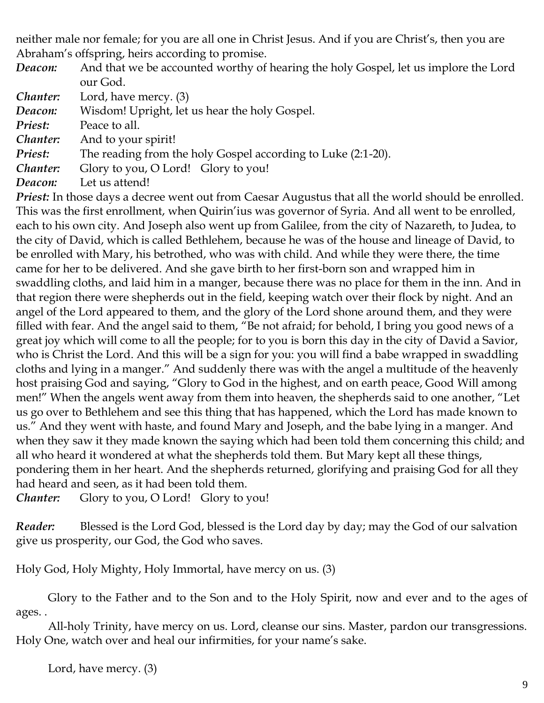neither male nor female; for you are all one in Christ Jesus. And if you are Christ's, then you are Abraham's offspring, heirs according to promise.

- *Deacon:* And that we be accounted worthy of hearing the holy Gospel, let us implore the Lord our God.
- *Chanter:* Lord, have mercy. (3)
- *Deacon:* Wisdom! Upright, let us hear the holy Gospel.
- *Priest:* Peace to all.
- *Chanter:* And to your spirit!
- *Priest:* The reading from the holy Gospel according to Luke (2:1-20).
- *Chanter:* Glory to you, O Lord! Glory to you!
- *Deacon:* Let us attend!

*Priest:* In those days a decree went out from Caesar Augustus that all the world should be enrolled. This was the first enrollment, when Quirin'ius was governor of Syria. And all went to be enrolled, each to his own city. And Joseph also went up from Galilee, from the city of Nazareth, to Judea, to the city of David, which is called Bethlehem, because he was of the house and lineage of David, to be enrolled with Mary, his betrothed, who was with child. And while they were there, the time came for her to be delivered. And she gave birth to her first-born son and wrapped him in swaddling cloths, and laid him in a manger, because there was no place for them in the inn. And in that region there were shepherds out in the field, keeping watch over their flock by night. And an angel of the Lord appeared to them, and the glory of the Lord shone around them, and they were filled with fear. And the angel said to them, "Be not afraid; for behold, I bring you good news of a great joy which will come to all the people; for to you is born this day in the city of David a Savior, who is Christ the Lord. And this will be a sign for you: you will find a babe wrapped in swaddling cloths and lying in a manger." And suddenly there was with the angel a multitude of the heavenly host praising God and saying, "Glory to God in the highest, and on earth peace, Good Will among men!" When the angels went away from them into heaven, the shepherds said to one another, "Let us go over to Bethlehem and see this thing that has happened, which the Lord has made known to us." And they went with haste, and found Mary and Joseph, and the babe lying in a manger. And when they saw it they made known the saying which had been told them concerning this child; and all who heard it wondered at what the shepherds told them. But Mary kept all these things, pondering them in her heart. And the shepherds returned, glorifying and praising God for all they had heard and seen, as it had been told them.

*Chanter:* Glory to you, O Lord! Glory to you!

*Reader:* Blessed is the Lord God, blessed is the Lord day by day; may the God of our salvation give us prosperity, our God, the God who saves.

Holy God, Holy Mighty, Holy Immortal, have mercy on us. (3)

Glory to the Father and to the Son and to the Holy Spirit, now and ever and to the ages of ages. .

All-holy Trinity, have mercy on us. Lord, cleanse our sins. Master, pardon our transgressions. Holy One, watch over and heal our infirmities, for your name's sake.

Lord, have mercy. (3)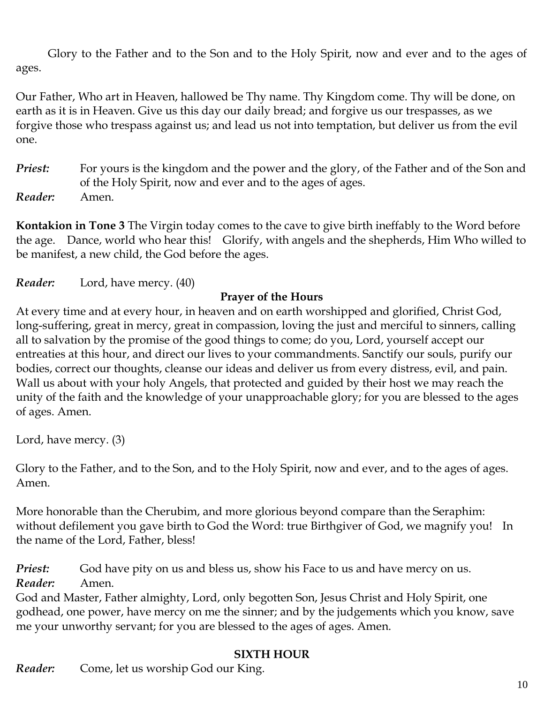Glory to the Father and to the Son and to the Holy Spirit, now and ever and to the ages of ages.

Our Father, Who art in Heaven, hallowed be Thy name. Thy Kingdom come. Thy will be done, on earth as it is in Heaven. Give us this day our daily bread; and forgive us our trespasses, as we forgive those who trespass against us; and lead us not into temptation, but deliver us from the evil one.

*Priest:* For yours is the kingdom and the power and the glory, of the Father and of the Son and of the Holy Spirit, now and ever and to the ages of ages. *Reader:* Amen.

**Kontakion in Tone 3** The Virgin today comes to the cave to give birth ineffably to the Word before the age. Dance, world who hear this! Glorify, with angels and the shepherds, Him Who willed to be manifest, a new child, the God before the ages.

*Reader:* Lord, have mercy. (40)

# **Prayer of the Hours**

At every time and at every hour, in heaven and on earth worshipped and glorified, Christ God, long-suffering, great in mercy, great in compassion, loving the just and merciful to sinners, calling all to salvation by the promise of the good things to come; do you, Lord, yourself accept our entreaties at this hour, and direct our lives to your commandments. Sanctify our souls, purify our bodies, correct our thoughts, cleanse our ideas and deliver us from every distress, evil, and pain. Wall us about with your holy Angels, that protected and guided by their host we may reach the unity of the faith and the knowledge of your unapproachable glory; for you are blessed to the ages of ages. Amen.

Lord, have mercy. (3)

Glory to the Father, and to the Son, and to the Holy Spirit, now and ever, and to the ages of ages. Amen.

More honorable than the Cherubim, and more glorious beyond compare than the Seraphim: without defilement you gave birth to God the Word: true Birthgiver of God, we magnify you! In the name of the Lord, Father, bless!

*Priest:* God have pity on us and bless us, show his Face to us and have mercy on us. *Reader:* Amen.

God and Master, Father almighty, Lord, only begotten Son, Jesus Christ and Holy Spirit, one godhead, one power, have mercy on me the sinner; and by the judgements which you know, save me your unworthy servant; for you are blessed to the ages of ages. Amen.

# **SIXTH HOUR**

*Reader:* Come, let us worship God our King.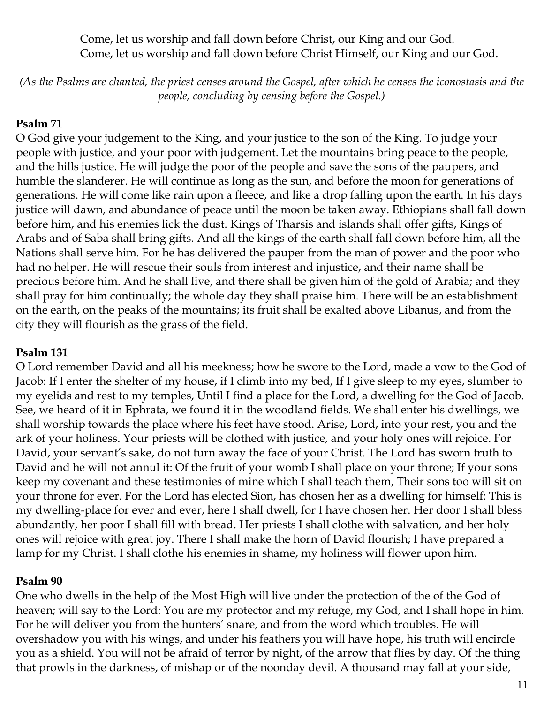Come, let us worship and fall down before Christ, our King and our God. Come, let us worship and fall down before Christ Himself, our King and our God.

*(As the Psalms are chanted, the priest censes around the Gospel, after which he censes the iconostasis and the people, concluding by censing before the Gospel.)*

# **Psalm 71**

O God give your judgement to the King, and your justice to the son of the King. To judge your people with justice, and your poor with judgement. Let the mountains bring peace to the people, and the hills justice. He will judge the poor of the people and save the sons of the paupers, and humble the slanderer. He will continue as long as the sun, and before the moon for generations of generations. He will come like rain upon a fleece, and like a drop falling upon the earth. In his days justice will dawn, and abundance of peace until the moon be taken away. Ethiopians shall fall down before him, and his enemies lick the dust. Kings of Tharsis and islands shall offer gifts, Kings of Arabs and of Saba shall bring gifts. And all the kings of the earth shall fall down before him, all the Nations shall serve him. For he has delivered the pauper from the man of power and the poor who had no helper. He will rescue their souls from interest and injustice, and their name shall be precious before him. And he shall live, and there shall be given him of the gold of Arabia; and they shall pray for him continually; the whole day they shall praise him. There will be an establishment on the earth, on the peaks of the mountains; its fruit shall be exalted above Libanus, and from the city they will flourish as the grass of the field.

# **Psalm 131**

O Lord remember David and all his meekness; how he swore to the Lord, made a vow to the God of Jacob: If I enter the shelter of my house, if I climb into my bed, If I give sleep to my eyes, slumber to my eyelids and rest to my temples, Until I find a place for the Lord, a dwelling for the God of Jacob. See, we heard of it in Ephrata, we found it in the woodland fields. We shall enter his dwellings, we shall worship towards the place where his feet have stood. Arise, Lord, into your rest, you and the ark of your holiness. Your priests will be clothed with justice, and your holy ones will rejoice. For David, your servant's sake, do not turn away the face of your Christ. The Lord has sworn truth to David and he will not annul it: Of the fruit of your womb I shall place on your throne; If your sons keep my covenant and these testimonies of mine which I shall teach them, Their sons too will sit on your throne for ever. For the Lord has elected Sion, has chosen her as a dwelling for himself: This is my dwelling-place for ever and ever, here I shall dwell, for I have chosen her. Her door I shall bless abundantly, her poor I shall fill with bread. Her priests I shall clothe with salvation, and her holy ones will rejoice with great joy. There I shall make the horn of David flourish; I have prepared a lamp for my Christ. I shall clothe his enemies in shame, my holiness will flower upon him.

# **Psalm 90**

One who dwells in the help of the Most High will live under the protection of the of the God of heaven; will say to the Lord: You are my protector and my refuge, my God, and I shall hope in him. For he will deliver you from the hunters' snare, and from the word which troubles. He will overshadow you with his wings, and under his feathers you will have hope, his truth will encircle you as a shield. You will not be afraid of terror by night, of the arrow that flies by day. Of the thing that prowls in the darkness, of mishap or of the noonday devil. A thousand may fall at your side,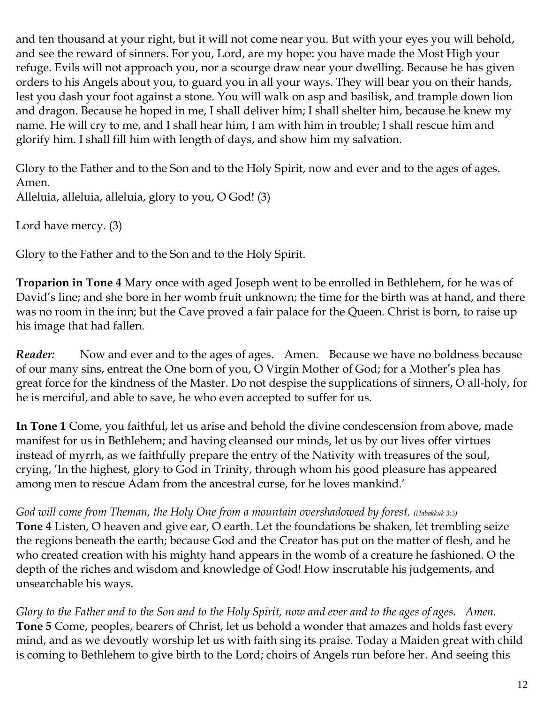and ten thousand at your right, but it will not come near you. But with your eyes you will behold, and see the reward of sinners. For you, Lord, are my hope: you have made the Most High your refuge. Evils will not approach you, nor a scourge draw near your dwelling. Because he has given orders to his Angels about you, to guard you in all your ways. They will bear you on their hands, lest you dash your foot against a stone. You will walk on asp and basilisk, and trample down lion and dragon. Because he hoped in me, I shall deliver him; I shall shelter him, because he knew my name. He will cry to me, and I shall hear him, I am with him in trouble; I shall rescue him and glorify him. I shall fill him with length of days, and show him my salvation.

Glory to the Father and to the Son and to the Holy Spirit, now and ever and to the ages of ages. Amen.

Alleluia, alleluia, alleluia, glory to you, O God! (3)

Lord have mercy. (3)

Glory to the Father and to the Son and to the Holy Spirit.

**Troparion in Tone 4** Mary once with aged Joseph went to be enrolled in Bethlehem, for he was of David's line; and she bore in her womb fruit unknown; the time for the birth was at hand, and there was no room in the inn; but the Cave proved a fair palace for the Queen. Christ is born, to raise up his image that had fallen.

*Reader:* Now and ever and to the ages of ages. Amen. Because we have no boldness because of our many sins, entreat the One born of you, O Virgin Mother of God; for a Mother's plea has great force for the kindness of the Master. Do not despise the supplications of sinners, O all-holy, for he is merciful, and able to save, he who even accepted to suffer for us.

**In Tone 1** Come, you faithful, let us arise and behold the divine condescension from above, made manifest for us in Bethlehem; and having cleansed our minds, let us by our lives offer virtues instead of myrrh, as we faithfully prepare the entry of the Nativity with treasures of the soul, crying, 'In the highest, glory to God in Trinity, through whom his good pleasure has appeared among men to rescue Adam from the ancestral curse, for he loves mankind.'

*God will come from Theman, the Holy One from a mountain overshadowed by forest. (Habakkuk 3:3)* **Tone 4** Listen, O heaven and give ear, O earth. Let the foundations be shaken, let trembling seize the regions beneath the earth; because God and the Creator has put on the matter of flesh, and he who created creation with his mighty hand appears in the womb of a creature he fashioned. O the depth of the riches and wisdom and knowledge of God! How inscrutable his judgements, and unsearchable his ways.

*Glory to the Father and to the Son and to the Holy Spirit, now and ever and to the ages of ages. Amen.* **Tone 5** Come, peoples, bearers of Christ, let us behold a wonder that amazes and holds fast every mind, and as we devoutly worship let us with faith sing its praise. Today a Maiden great with child is coming to Bethlehem to give birth to the Lord; choirs of Angels run before her. And seeing this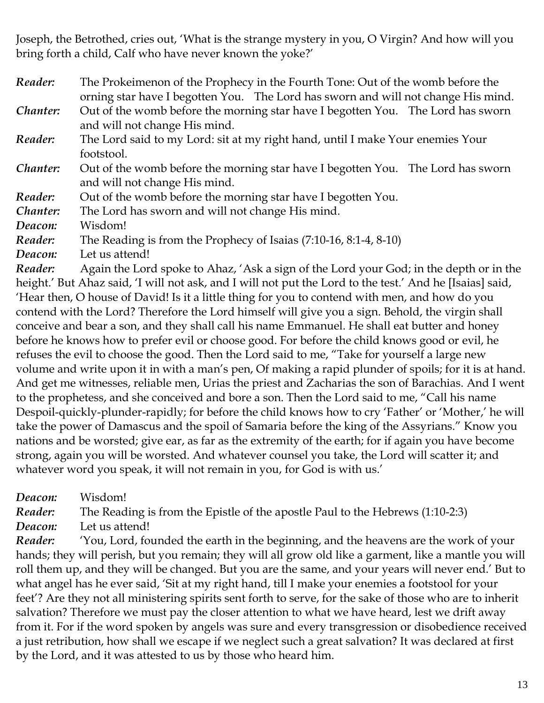Joseph, the Betrothed, cries out, 'What is the strange mystery in you, O Virgin? And how will you bring forth a child, Calf who have never known the yoke?'

| Reader:                                                                                                  | The Prokeimenon of the Prophecy in the Fourth Tone: Out of the womb before the                   |  |
|----------------------------------------------------------------------------------------------------------|--------------------------------------------------------------------------------------------------|--|
|                                                                                                          | orning star have I begotten You. The Lord has sworn and will not change His mind.                |  |
| Chanter:                                                                                                 | Out of the womb before the morning star have I begotten You. The Lord has sworn                  |  |
|                                                                                                          | and will not change His mind.                                                                    |  |
| Reader:                                                                                                  | The Lord said to my Lord: sit at my right hand, until I make Your enemies Your                   |  |
|                                                                                                          | footstool.                                                                                       |  |
| Chanter:                                                                                                 | Out of the womb before the morning star have I begotten You. The Lord has sworn                  |  |
|                                                                                                          | and will not change His mind.                                                                    |  |
| Reader:                                                                                                  | Out of the womb before the morning star have I begotten You.                                     |  |
| Chanter:                                                                                                 | The Lord has sworn and will not change His mind.                                                 |  |
| Deacon:                                                                                                  | Wisdom!                                                                                          |  |
| Reader:                                                                                                  | The Reading is from the Prophecy of Isaias $(7:10-16, 8:1-4, 8-10)$                              |  |
| Deacon:                                                                                                  | Let us attend!                                                                                   |  |
| Reader:                                                                                                  | Again the Lord spoke to Ahaz, 'Ask a sign of the Lord your God; in the depth or in the           |  |
| height.' But Ahaz said, 'I will not ask, and I will not put the Lord to the test.' And he [Isaias] said, |                                                                                                  |  |
| 'Hear then, O house of David! Is it a little thing for you to contend with men, and how do you           |                                                                                                  |  |
|                                                                                                          | contend with the Lord? Therefore the Lord himself will give you a sign. Behold, the virgin shall |  |
| conceive and bear a son, and they shall call his name Emmanuel. He shall eat butter and honey            |                                                                                                  |  |
|                                                                                                          | before he knows how to prefer evil or choose good. For before the child knows good or evil, he   |  |
| refuses the evil to choose the good. Then the Lord said to me, "Take for yourself a large new            |                                                                                                  |  |
| volume and write upon it in with a man's pen, Of making a rapid plunder of spoils; for it is at hand.    |                                                                                                  |  |
| And get me witnesses, reliable men, Urias the priest and Zacharias the son of Barachias. And I went      |                                                                                                  |  |
| to the prophetess, and she conceived and bore a son. Then the Lord said to me, "Call his name            |                                                                                                  |  |
| Despoil-quickly-plunder-rapidly; for before the child knows how to cry 'Father' or 'Mother,' he will     |                                                                                                  |  |
| take the power of Damascus and the spoil of Samaria before the king of the Assyrians." Know you          |                                                                                                  |  |
| nations and be worsted; give ear, as far as the extremity of the earth; for if again you have become     |                                                                                                  |  |
| strong, again you will be worsted. And whatever counsel you take, the Lord will scatter it; and          |                                                                                                  |  |

whatever word you speak, it will not remain in you, for God is with us.'

*Deacon:* Wisdom!

*Reader:* The Reading is from the Epistle of the apostle Paul to the Hebrews (1:10-2:3)

*Deacon:* Let us attend!

*Reader:* 'You, Lord, founded the earth in the beginning, and the heavens are the work of your hands; they will perish, but you remain; they will all grow old like a garment, like a mantle you will roll them up, and they will be changed. But you are the same, and your years will never end.' But to what angel has he ever said, 'Sit at my right hand, till I make your enemies a footstool for your feet'? Are they not all ministering spirits sent forth to serve, for the sake of those who are to inherit salvation? Therefore we must pay the closer attention to what we have heard, lest we drift away from it. For if the word spoken by angels was sure and every transgression or disobedience received a just retribution, how shall we escape if we neglect such a great salvation? It was declared at first by the Lord, and it was attested to us by those who heard him.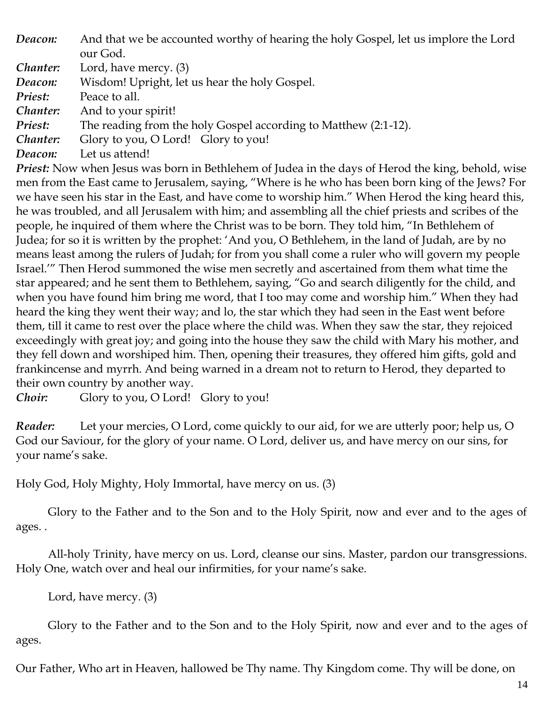*Deacon:* And that we be accounted worthy of hearing the holy Gospel, let us implore the Lord our God.

*Chanter:* Lord, have mercy. (3)

*Deacon:* Wisdom! Upright, let us hear the holy Gospel.

*Priest:* Peace to all.

*Chanter:* And to your spirit!

*Priest:* The reading from the holy Gospel according to Matthew (2:1-12).

*Chanter:* Glory to you, O Lord! Glory to you!

*Deacon:* Let us attend!

*Priest:* Now when Jesus was born in Bethlehem of Judea in the days of Herod the king, behold, wise men from the East came to Jerusalem, saying, "Where is he who has been born king of the Jews? For we have seen his star in the East, and have come to worship him." When Herod the king heard this, he was troubled, and all Jerusalem with him; and assembling all the chief priests and scribes of the people, he inquired of them where the Christ was to be born. They told him, "In Bethlehem of Judea; for so it is written by the prophet: 'And you, O Bethlehem, in the land of Judah, are by no means least among the rulers of Judah; for from you shall come a ruler who will govern my people Israel.'" Then Herod summoned the wise men secretly and ascertained from them what time the star appeared; and he sent them to Bethlehem, saying, "Go and search diligently for the child, and when you have found him bring me word, that I too may come and worship him." When they had heard the king they went their way; and lo, the star which they had seen in the East went before them, till it came to rest over the place where the child was. When they saw the star, they rejoiced exceedingly with great joy; and going into the house they saw the child with Mary his mother, and they fell down and worshiped him. Then, opening their treasures, they offered him gifts, gold and frankincense and myrrh. And being warned in a dream not to return to Herod, they departed to their own country by another way.

*Choir:* Glory to you, O Lord! Glory to you!

*Reader:* Let your mercies, O Lord, come quickly to our aid, for we are utterly poor; help us, O God our Saviour, for the glory of your name. O Lord, deliver us, and have mercy on our sins, for your name's sake.

Holy God, Holy Mighty, Holy Immortal, have mercy on us. (3)

Glory to the Father and to the Son and to the Holy Spirit, now and ever and to the ages of ages. .

All-holy Trinity, have mercy on us. Lord, cleanse our sins. Master, pardon our transgressions. Holy One, watch over and heal our infirmities, for your name's sake.

Lord, have mercy. (3)

Glory to the Father and to the Son and to the Holy Spirit, now and ever and to the ages of ages.

Our Father, Who art in Heaven, hallowed be Thy name. Thy Kingdom come. Thy will be done, on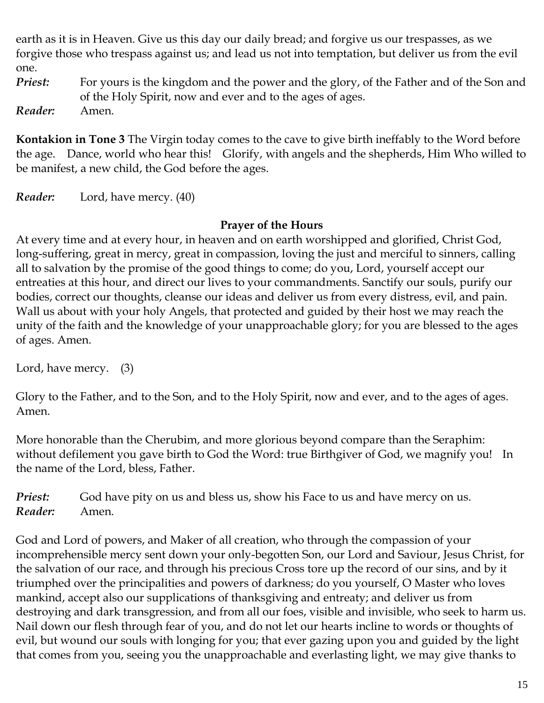earth as it is in Heaven. Give us this day our daily bread; and forgive us our trespasses, as we forgive those who trespass against us; and lead us not into temptation, but deliver us from the evil one.

*Priest:* For yours is the kingdom and the power and the glory, of the Father and of the Son and of the Holy Spirit, now and ever and to the ages of ages. *Reader:* Amen.

**Kontakion in Tone 3** The Virgin today comes to the cave to give birth ineffably to the Word before the age. Dance, world who hear this! Glorify, with angels and the shepherds, Him Who willed to be manifest, a new child, the God before the ages.

*Reader:* Lord, have mercy. (40)

# **Prayer of the Hours**

At every time and at every hour, in heaven and on earth worshipped and glorified, Christ God, long-suffering, great in mercy, great in compassion, loving the just and merciful to sinners, calling all to salvation by the promise of the good things to come; do you, Lord, yourself accept our entreaties at this hour, and direct our lives to your commandments. Sanctify our souls, purify our bodies, correct our thoughts, cleanse our ideas and deliver us from every distress, evil, and pain. Wall us about with your holy Angels, that protected and guided by their host we may reach the unity of the faith and the knowledge of your unapproachable glory; for you are blessed to the ages of ages. Amen.

Lord, have mercy. (3)

Glory to the Father, and to the Son, and to the Holy Spirit, now and ever, and to the ages of ages. Amen.

More honorable than the Cherubim, and more glorious beyond compare than the Seraphim: without defilement you gave birth to God the Word: true Birthgiver of God, we magnify you! In the name of the Lord, bless, Father.

*Priest:* God have pity on us and bless us, show his Face to us and have mercy on us. *Reader:* Amen.

God and Lord of powers, and Maker of all creation, who through the compassion of your incomprehensible mercy sent down your only-begotten Son, our Lord and Saviour, Jesus Christ, for the salvation of our race, and through his precious Cross tore up the record of our sins, and by it triumphed over the principalities and powers of darkness; do you yourself, O Master who loves mankind, accept also our supplications of thanksgiving and entreaty; and deliver us from destroying and dark transgression, and from all our foes, visible and invisible, who seek to harm us. Nail down our flesh through fear of you, and do not let our hearts incline to words or thoughts of evil, but wound our souls with longing for you; that ever gazing upon you and guided by the light that comes from you, seeing you the unapproachable and everlasting light, we may give thanks to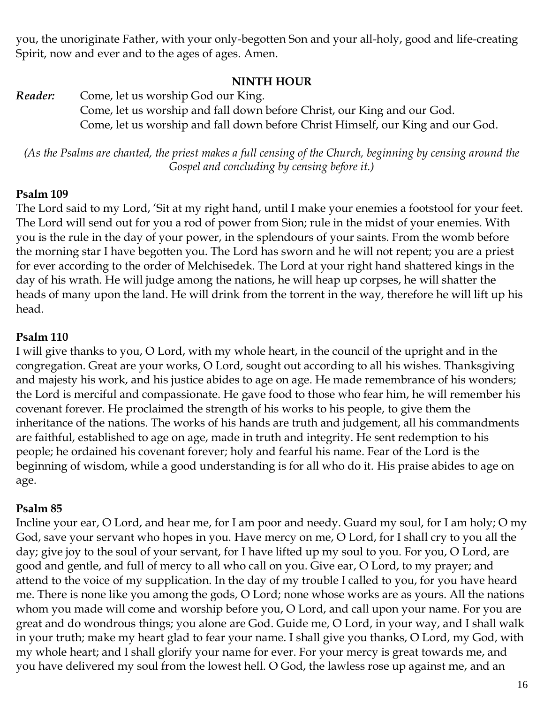you, the unoriginate Father, with your only-begotten Son and your all-holy, good and life-creating Spirit, now and ever and to the ages of ages. Amen.

#### **NINTH HOUR**

*Reader:* Come, let us worship God our King. Come, let us worship and fall down before Christ, our King and our God. Come, let us worship and fall down before Christ Himself, our King and our God.

*(As the Psalms are chanted, the priest makes a full censing of the Church, beginning by censing around the Gospel and concluding by censing before it.)*

### **Psalm 109**

The Lord said to my Lord, 'Sit at my right hand, until I make your enemies a footstool for your feet. The Lord will send out for you a rod of power from Sion; rule in the midst of your enemies. With you is the rule in the day of your power, in the splendours of your saints. From the womb before the morning star I have begotten you. The Lord has sworn and he will not repent; you are a priest for ever according to the order of Melchisedek. The Lord at your right hand shattered kings in the day of his wrath. He will judge among the nations, he will heap up corpses, he will shatter the heads of many upon the land. He will drink from the torrent in the way, therefore he will lift up his head.

#### **Psalm 110**

I will give thanks to you, O Lord, with my whole heart, in the council of the upright and in the congregation. Great are your works, O Lord, sought out according to all his wishes. Thanksgiving and majesty his work, and his justice abides to age on age. He made remembrance of his wonders; the Lord is merciful and compassionate. He gave food to those who fear him, he will remember his covenant forever. He proclaimed the strength of his works to his people, to give them the inheritance of the nations. The works of his hands are truth and judgement, all his commandments are faithful, established to age on age, made in truth and integrity. He sent redemption to his people; he ordained his covenant forever; holy and fearful his name. Fear of the Lord is the beginning of wisdom, while a good understanding is for all who do it. His praise abides to age on age.

#### **Psalm 85**

Incline your ear, O Lord, and hear me, for I am poor and needy. Guard my soul, for I am holy; O my God, save your servant who hopes in you. Have mercy on me, O Lord, for I shall cry to you all the day; give joy to the soul of your servant, for I have lifted up my soul to you. For you, O Lord, are good and gentle, and full of mercy to all who call on you. Give ear, O Lord, to my prayer; and attend to the voice of my supplication. In the day of my trouble I called to you, for you have heard me. There is none like you among the gods, O Lord; none whose works are as yours. All the nations whom you made will come and worship before you, O Lord, and call upon your name. For you are great and do wondrous things; you alone are God. Guide me, O Lord, in your way, and I shall walk in your truth; make my heart glad to fear your name. I shall give you thanks, O Lord, my God, with my whole heart; and I shall glorify your name for ever. For your mercy is great towards me, and you have delivered my soul from the lowest hell. O God, the lawless rose up against me, and an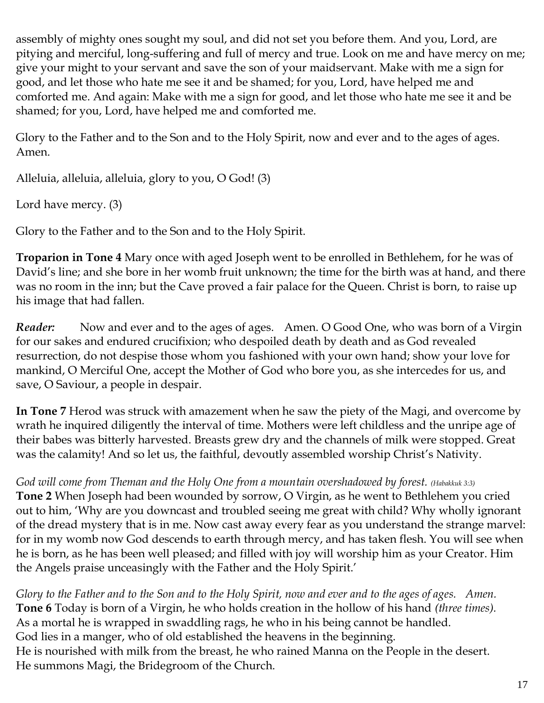assembly of mighty ones sought my soul, and did not set you before them. And you, Lord, are pitying and merciful, long-suffering and full of mercy and true. Look on me and have mercy on me; give your might to your servant and save the son of your maidservant. Make with me a sign for good, and let those who hate me see it and be shamed; for you, Lord, have helped me and comforted me. And again: Make with me a sign for good, and let those who hate me see it and be shamed; for you, Lord, have helped me and comforted me.

Glory to the Father and to the Son and to the Holy Spirit, now and ever and to the ages of ages. Amen.

Alleluia, alleluia, alleluia, glory to you, O God! (3)

Lord have mercy. (3)

Glory to the Father and to the Son and to the Holy Spirit.

**Troparion in Tone 4** Mary once with aged Joseph went to be enrolled in Bethlehem, for he was of David's line; and she bore in her womb fruit unknown; the time for the birth was at hand, and there was no room in the inn; but the Cave proved a fair palace for the Queen. Christ is born, to raise up his image that had fallen.

*Reader:* Now and ever and to the ages of ages. Amen. O Good One, who was born of a Virgin for our sakes and endured crucifixion; who despoiled death by death and as God revealed resurrection, do not despise those whom you fashioned with your own hand; show your love for mankind, O Merciful One, accept the Mother of God who bore you, as she intercedes for us, and save, O Saviour, a people in despair.

**In Tone 7** Herod was struck with amazement when he saw the piety of the Magi, and overcome by wrath he inquired diligently the interval of time. Mothers were left childless and the unripe age of their babes was bitterly harvested. Breasts grew dry and the channels of milk were stopped. Great was the calamity! And so let us, the faithful, devoutly assembled worship Christ's Nativity.

*God will come from Theman and the Holy One from a mountain overshadowed by forest. (Habakkuk 3:3)* **Tone 2** When Joseph had been wounded by sorrow, O Virgin, as he went to Bethlehem you cried out to him, 'Why are you downcast and troubled seeing me great with child? Why wholly ignorant of the dread mystery that is in me. Now cast away every fear as you understand the strange marvel: for in my womb now God descends to earth through mercy, and has taken flesh. You will see when he is born, as he has been well pleased; and filled with joy will worship him as your Creator. Him the Angels praise unceasingly with the Father and the Holy Spirit.'

*Glory to the Father and to the Son and to the Holy Spirit, now and ever and to the ages of ages. Amen.* **Tone 6** Today is born of a Virgin, he who holds creation in the hollow of his hand *(three times).* As a mortal he is wrapped in swaddling rags, he who in his being cannot be handled. God lies in a manger, who of old established the heavens in the beginning. He is nourished with milk from the breast, he who rained Manna on the People in the desert. He summons Magi, the Bridegroom of the Church.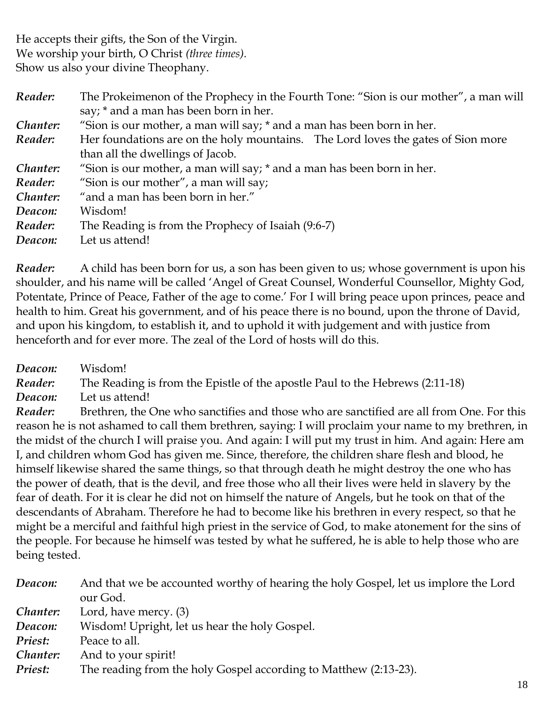He accepts their gifts, the Son of the Virgin. We worship your birth, O Christ *(three times).* Show us also your divine Theophany.

| Reader:  | The Prokeimenon of the Prophecy in the Fourth Tone: "Sion is our mother", a man will |
|----------|--------------------------------------------------------------------------------------|
|          | say; * and a man has been born in her.                                               |
| Chanter: | "Sion is our mother, a man will say; * and a man has been born in her.               |
| Reader:  | Her foundations are on the holy mountains. The Lord loves the gates of Sion more     |
|          | than all the dwellings of Jacob.                                                     |
| Chanter: | "Sion is our mother, a man will say; * and a man has been born in her.               |
| Reader:  | "Sion is our mother", a man will say;                                                |
| Chanter: | "and a man has been born in her."                                                    |
| Deacon:  | Wisdom!                                                                              |
| Reader:  | The Reading is from the Prophecy of Isaiah (9:6-7)                                   |
| Deacon:  | Let us attend!                                                                       |

*Reader:* A child has been born for us, a son has been given to us; whose government is upon his shoulder, and his name will be called 'Angel of Great Counsel, Wonderful Counsellor, Mighty God, Potentate, Prince of Peace, Father of the age to come.' For I will bring peace upon princes, peace and health to him. Great his government, and of his peace there is no bound, upon the throne of David, and upon his kingdom, to establish it, and to uphold it with judgement and with justice from henceforth and for ever more. The zeal of the Lord of hosts will do this.

*Deacon:* Wisdom! *Reader:* The Reading is from the Epistle of the apostle Paul to the Hebrews (2:11-18) *Deacon:* Let us attend! *Reader:* Brethren, the One who sanctifies and those who are sanctified are all from One. For this reason he is not ashamed to call them brethren, saying: I will proclaim your name to my brethren, in the midst of the church I will praise you. And again: I will put my trust in him. And again: Here am

I, and children whom God has given me. Since, therefore, the children share flesh and blood, he himself likewise shared the same things, so that through death he might destroy the one who has the power of death, that is the devil, and free those who all their lives were held in slavery by the fear of death. For it is clear he did not on himself the nature of Angels, but he took on that of the descendants of Abraham. Therefore he had to become like his brethren in every respect, so that he might be a merciful and faithful high priest in the service of God, to make atonement for the sins of the people. For because he himself was tested by what he suffered, he is able to help those who are being tested.

| Deacon:  | And that we be accounted worthy of hearing the holy Gospel, let us implore the Lord<br>our God. |
|----------|-------------------------------------------------------------------------------------------------|
| Chanter: | Lord, have mercy. (3)                                                                           |
| Deacon:  | Wisdom! Upright, let us hear the holy Gospel.                                                   |
| Priest:  | Peace to all.                                                                                   |
| Chanter: | And to your spirit!                                                                             |
| Priest:  | The reading from the holy Gospel according to Matthew (2:13-23).                                |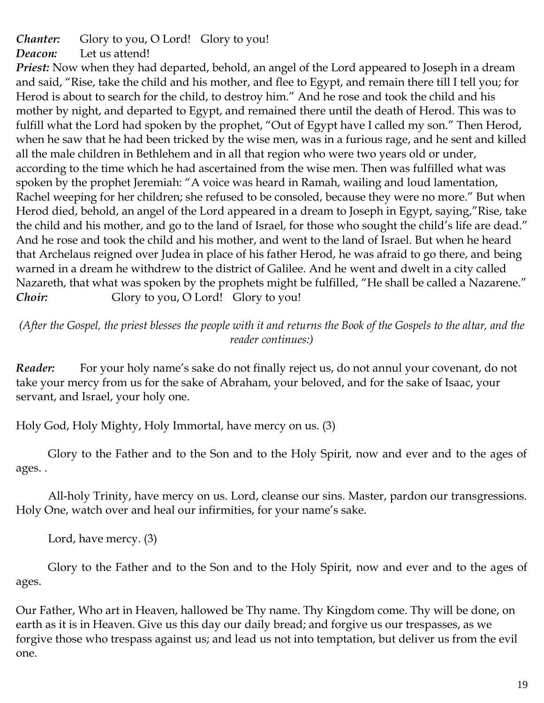*Chanter:* Glory to you, O Lord! Glory to you!

*Deacon:* Let us attend!

*Priest:* Now when they had departed, behold, an angel of the Lord appeared to Joseph in a dream and said, "Rise, take the child and his mother, and flee to Egypt, and remain there till I tell you; for Herod is about to search for the child, to destroy him." And he rose and took the child and his mother by night, and departed to Egypt, and remained there until the death of Herod. This was to fulfill what the Lord had spoken by the prophet, "Out of Egypt have I called my son." Then Herod, when he saw that he had been tricked by the wise men, was in a furious rage, and he sent and killed all the male children in Bethlehem and in all that region who were two years old or under, according to the time which he had ascertained from the wise men. Then was fulfilled what was spoken by the prophet Jeremiah: "A voice was heard in Ramah, wailing and loud lamentation, Rachel weeping for her children; she refused to be consoled, because they were no more." But when Herod died, behold, an angel of the Lord appeared in a dream to Joseph in Egypt, saying,"Rise, take the child and his mother, and go to the land of Israel, for those who sought the child's life are dead." And he rose and took the child and his mother, and went to the land of Israel. But when he heard that Archelaus reigned over Judea in place of his father Herod, he was afraid to go there, and being warned in a dream he withdrew to the district of Galilee. And he went and dwelt in a city called Nazareth, that what was spoken by the prophets might be fulfilled, "He shall be called a Nazarene." *Choir:* Glory to you, O Lord! Glory to you!

*(After the Gospel, the priest blesses the people with it and returns the Book of the Gospels to the altar, and the reader continues:)*

*Reader:* For your holy name's sake do not finally reject us, do not annul your covenant, do not take your mercy from us for the sake of Abraham, your beloved, and for the sake of Isaac, your servant, and Israel, your holy one.

Holy God, Holy Mighty, Holy Immortal, have mercy on us. (3)

Glory to the Father and to the Son and to the Holy Spirit, now and ever and to the ages of ages. .

All-holy Trinity, have mercy on us. Lord, cleanse our sins. Master, pardon our transgressions. Holy One, watch over and heal our infirmities, for your name's sake.

Lord, have mercy. (3)

Glory to the Father and to the Son and to the Holy Spirit, now and ever and to the ages of ages.

Our Father, Who art in Heaven, hallowed be Thy name. Thy Kingdom come. Thy will be done, on earth as it is in Heaven. Give us this day our daily bread; and forgive us our trespasses, as we forgive those who trespass against us; and lead us not into temptation, but deliver us from the evil one.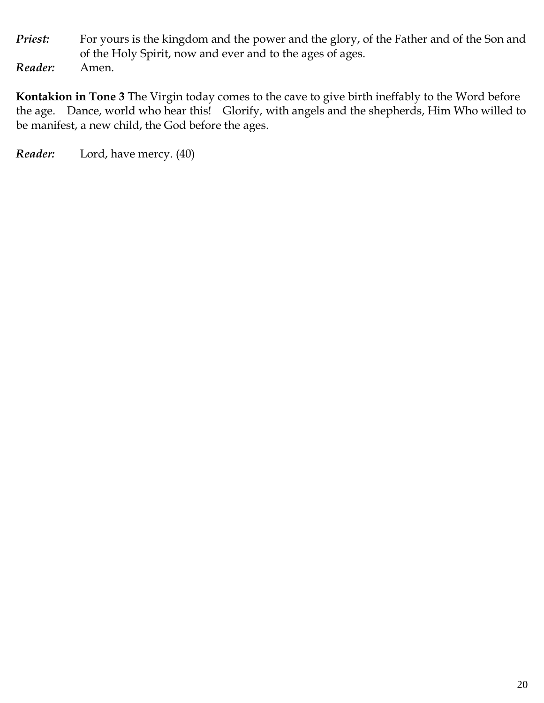- *Priest:* For yours is the kingdom and the power and the glory, of the Father and of the Son and of the Holy Spirit, now and ever and to the ages of ages.
- *Reader:* Amen.

**Kontakion in Tone 3** The Virgin today comes to the cave to give birth ineffably to the Word before the age. Dance, world who hear this! Glorify, with angels and the shepherds, Him Who willed to be manifest, a new child, the God before the ages.

*Reader:* Lord, have mercy. (40)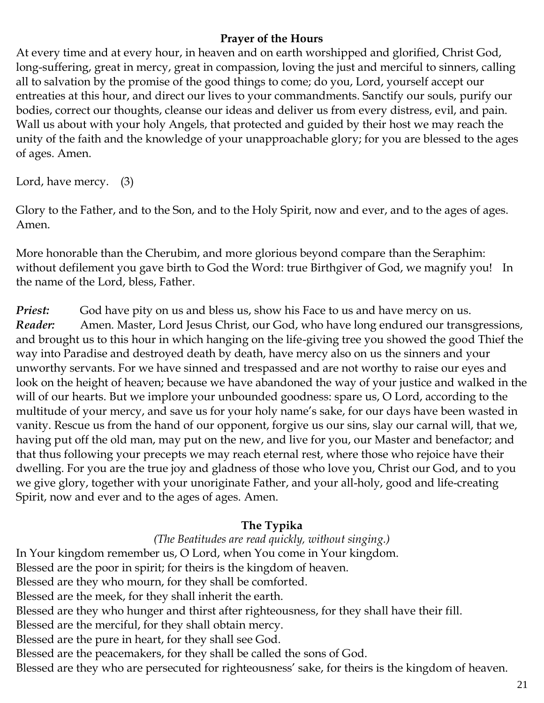## **Prayer of the Hours**

At every time and at every hour, in heaven and on earth worshipped and glorified, Christ God, long-suffering, great in mercy, great in compassion, loving the just and merciful to sinners, calling all to salvation by the promise of the good things to come; do you, Lord, yourself accept our entreaties at this hour, and direct our lives to your commandments. Sanctify our souls, purify our bodies, correct our thoughts, cleanse our ideas and deliver us from every distress, evil, and pain. Wall us about with your holy Angels, that protected and guided by their host we may reach the unity of the faith and the knowledge of your unapproachable glory; for you are blessed to the ages of ages. Amen.

Lord, have mercy. (3)

Glory to the Father, and to the Son, and to the Holy Spirit, now and ever, and to the ages of ages. Amen.

More honorable than the Cherubim, and more glorious beyond compare than the Seraphim: without defilement you gave birth to God the Word: true Birthgiver of God, we magnify you! In the name of the Lord, bless, Father.

*Priest:* God have pity on us and bless us, show his Face to us and have mercy on us. *Reader:* Amen. Master, Lord Jesus Christ, our God, who have long endured our transgressions, and brought us to this hour in which hanging on the life-giving tree you showed the good Thief the way into Paradise and destroyed death by death, have mercy also on us the sinners and your unworthy servants. For we have sinned and trespassed and are not worthy to raise our eyes and look on the height of heaven; because we have abandoned the way of your justice and walked in the will of our hearts. But we implore your unbounded goodness: spare us, O Lord, according to the multitude of your mercy, and save us for your holy name's sake, for our days have been wasted in vanity. Rescue us from the hand of our opponent, forgive us our sins, slay our carnal will, that we, having put off the old man, may put on the new, and live for you, our Master and benefactor; and that thus following your precepts we may reach eternal rest, where those who rejoice have their dwelling. For you are the true joy and gladness of those who love you, Christ our God, and to you we give glory, together with your unoriginate Father, and your all-holy, good and life-creating Spirit, now and ever and to the ages of ages. Amen.

#### **The Typika**

*(The Beatitudes are read quickly, without singing.)*

In Your kingdom remember us, O Lord, when You come in Your kingdom. Blessed are the poor in spirit; for theirs is the kingdom of heaven. Blessed are they who mourn, for they shall be comforted. Blessed are the meek, for they shall inherit the earth. Blessed are they who hunger and thirst after righteousness, for they shall have their fill. Blessed are the merciful, for they shall obtain mercy. Blessed are the pure in heart, for they shall see God. Blessed are the peacemakers, for they shall be called the sons of God. Blessed are they who are persecuted for righteousness' sake, for theirs is the kingdom of heaven.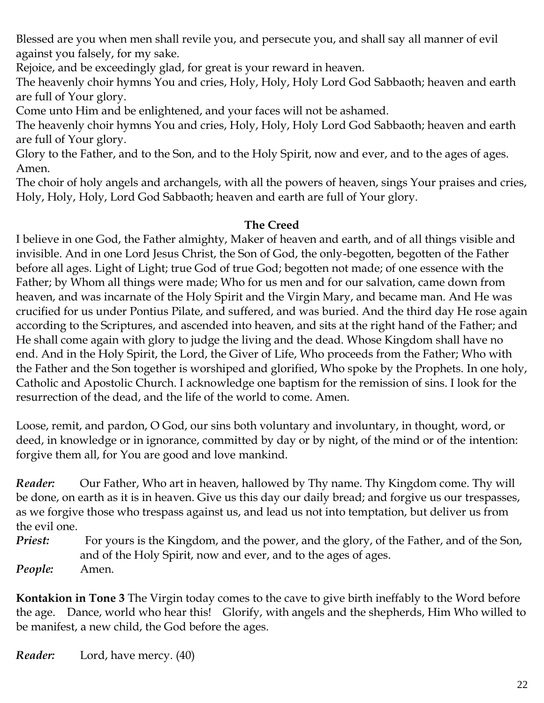Blessed are you when men shall revile you, and persecute you, and shall say all manner of evil against you falsely, for my sake.

Rejoice, and be exceedingly glad, for great is your reward in heaven.

The heavenly choir hymns You and cries, Holy, Holy, Holy Lord God Sabbaoth; heaven and earth are full of Your glory.

Come unto Him and be enlightened, and your faces will not be ashamed.

The heavenly choir hymns You and cries, Holy, Holy, Holy Lord God Sabbaoth; heaven and earth are full of Your glory.

Glory to the Father, and to the Son, and to the Holy Spirit, now and ever, and to the ages of ages. Amen.

The choir of holy angels and archangels, with all the powers of heaven, sings Your praises and cries, Holy, Holy, Holy, Lord God Sabbaoth; heaven and earth are full of Your glory.

# **The Creed**

I believe in one God, the Father almighty, Maker of heaven and earth, and of all things visible and invisible. And in one Lord Jesus Christ, the Son of God, the only-begotten, begotten of the Father before all ages. Light of Light; true God of true God; begotten not made; of one essence with the Father; by Whom all things were made; Who for us men and for our salvation, came down from heaven, and was incarnate of the Holy Spirit and the Virgin Mary, and became man. And He was crucified for us under Pontius Pilate, and suffered, and was buried. And the third day He rose again according to the Scriptures, and ascended into heaven, and sits at the right hand of the Father; and He shall come again with glory to judge the living and the dead. Whose Kingdom shall have no end. And in the Holy Spirit, the Lord, the Giver of Life, Who proceeds from the Father; Who with the Father and the Son together is worshiped and glorified, Who spoke by the Prophets. In one holy, Catholic and Apostolic Church. I acknowledge one baptism for the remission of sins. I look for the resurrection of the dead, and the life of the world to come. Amen.

Loose, remit, and pardon, O God, our sins both voluntary and involuntary, in thought, word, or deed, in knowledge or in ignorance, committed by day or by night, of the mind or of the intention: forgive them all, for You are good and love mankind.

*Reader:* Our Father, Who art in heaven, hallowed by Thy name. Thy Kingdom come. Thy will be done, on earth as it is in heaven. Give us this day our daily bread; and forgive us our trespasses, as we forgive those who trespass against us, and lead us not into temptation, but deliver us from the evil one.

- *Priest:* For yours is the Kingdom, and the power, and the glory, of the Father, and of the Son, and of the Holy Spirit, now and ever, and to the ages of ages.
- *People:* Amen.

**Kontakion in Tone 3** The Virgin today comes to the cave to give birth ineffably to the Word before the age. Dance, world who hear this! Glorify, with angels and the shepherds, Him Who willed to be manifest, a new child, the God before the ages.

*Reader:* Lord, have mercy. (40)